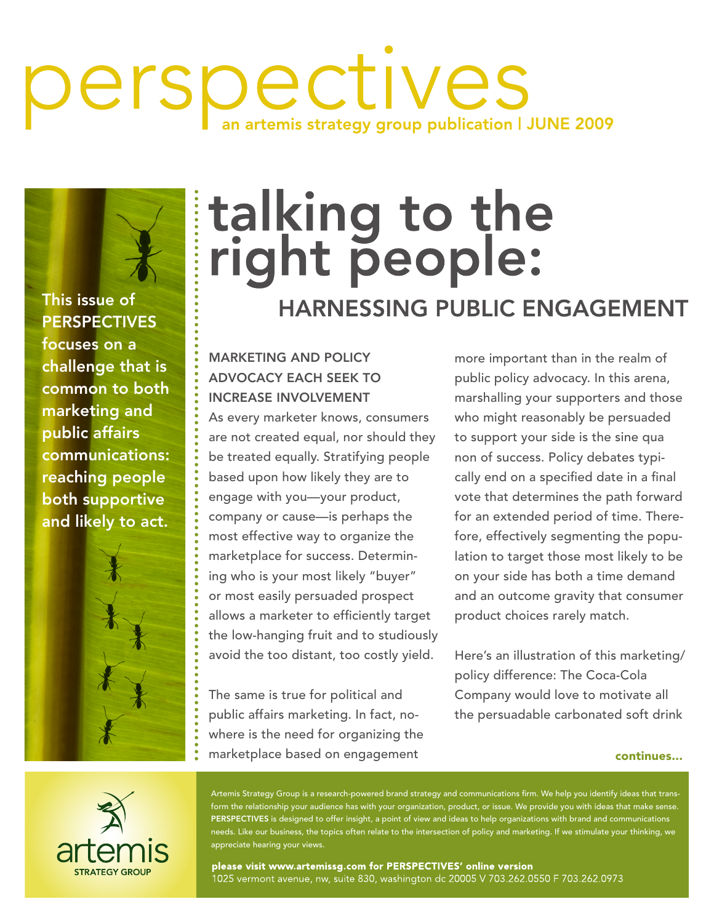## perspectives artemis strategy group publication | JUNE 2009

This issue of **PERSPECTIVES** focuses on a challenge that is common to both marketing and public affairs communications: reaching people both supportive and likely to act.



# talking to the<br>right people: **HARNESSING PUBLIC ENGAGEMENT**

#### Marketing and Policy Advocacy Each Seek to Increase Involvement

As every marketer knows, consumers are not created equal, nor should they be treated equally. Stratifying people based upon how likely they are to engage with you—your product, company or cause—is perhaps the most effective way to organize the marketplace for success. Determining who is your most likely "buyer" or most easily persuaded prospect allows a marketer to efficiently target the low-hanging fruit and to studiously avoid the too distant, too costly yield.

The same is true for political and public affairs marketing. In fact, nowhere is the need for organizing the marketplace based on engagement

more important than in the realm of public policy advocacy. In this arena, marshalling your supporters and those who might reasonably be persuaded to support your side is the sine qua non of success. Policy debates typically end on a specified date in a final vote that determines the path forward for an extended period of time. Therefore, effectively segmenting the population to target those most likely to be on your side has both a time demand and an outcome gravity that consumer product choices rarely match.

Here's an illustration of this marketing/ policy difference: The Coca-Cola Company would love to motivate all the persuadable carbonated soft drink

#### continues...



Artemis Strategy Group is a research-powered brand strategy and communications firm. We help you identify ideas that transform the relationship your audience has with your organization, product, or issue. We provide you with ideas that make sense. PERSPECTIVES is designed to offer insight, a point of view and ideas to help organizations with brand and communications needs. Like our business, the topics often relate to the intersection of policy and marketing. If we stimulate your thinking, we appreciate hearing your views.

please visit www.artemissg.com for PERSPECTIVES' online version .<br>1025 vermont avenue, nw, suite 830, washington dc 20005 V 703.262.0550 F 703.262.0973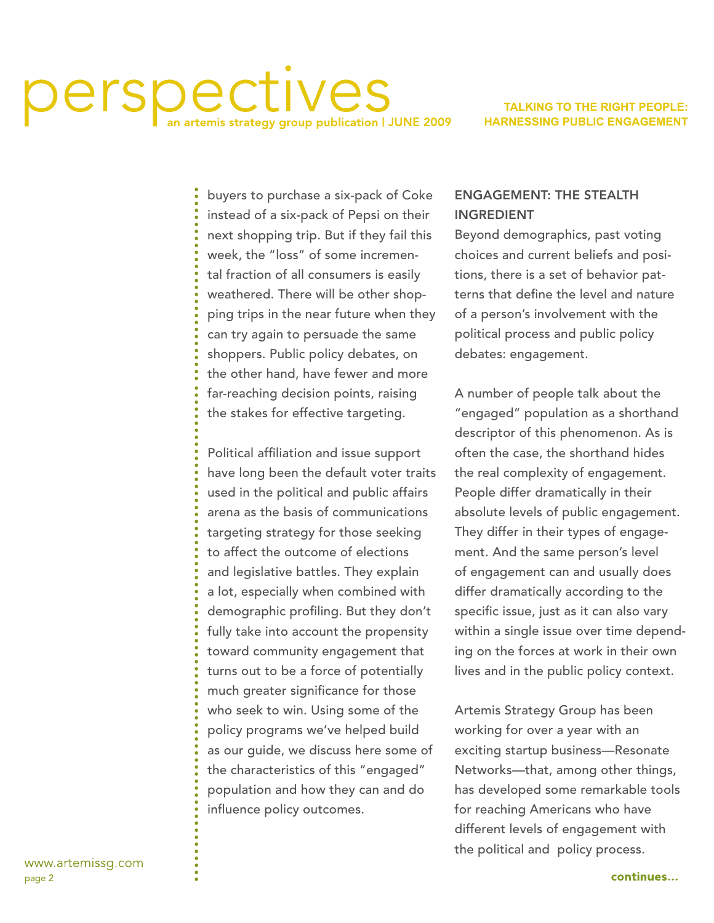### Derspectives temis strategy group publication | JUNE 2009

#### **TALKING TO THE RIGHT PEOPLE: HARNESSING PUBLIC ENGAGEMENT**

buyers to purchase a six-pack of Coke instead of a six-pack of Pepsi on their next shopping trip. But if they fail this week, the "loss" of some incremental fraction of all consumers is easily weathered. There will be other shopping trips in the near future when they can try again to persuade the same shoppers. Public policy debates, on the other hand, have fewer and more far-reaching decision points, raising the stakes for effective targeting.

Political affiliation and issue support have long been the default voter traits used in the political and public affairs arena as the basis of communications targeting strategy for those seeking to affect the outcome of elections and legislative battles. They explain a lot, especially when combined with demographic profiling. But they don't fully take into account the propensity toward community engagement that turns out to be a force of potentially much greater significance for those who seek to win. Using some of the policy programs we've helped build as our guide, we discuss here some of the characteristics of this "engaged" population and how they can and do influence policy outcomes.

#### Engagement: The Stealth **INGREDIENT**

Beyond demographics, past voting choices and current beliefs and positions, there is a set of behavior patterns that define the level and nature of a person's involvement with the political process and public policy debates: engagement.

A number of people talk about the "engaged" population as a shorthand descriptor of this phenomenon. As is often the case, the shorthand hides the real complexity of engagement. People differ dramatically in their absolute levels of public engagement. They differ in their types of engagement. And the same person's level of engagement can and usually does differ dramatically according to the specific issue, just as it can also vary within a single issue over time depending on the forces at work in their own lives and in the public policy context.

Artemis Strategy Group has been working for over a year with an exciting startup business—Resonate Networks—that, among other things, has developed some remarkable tools for reaching Americans who have different levels of engagement with the political and policy process.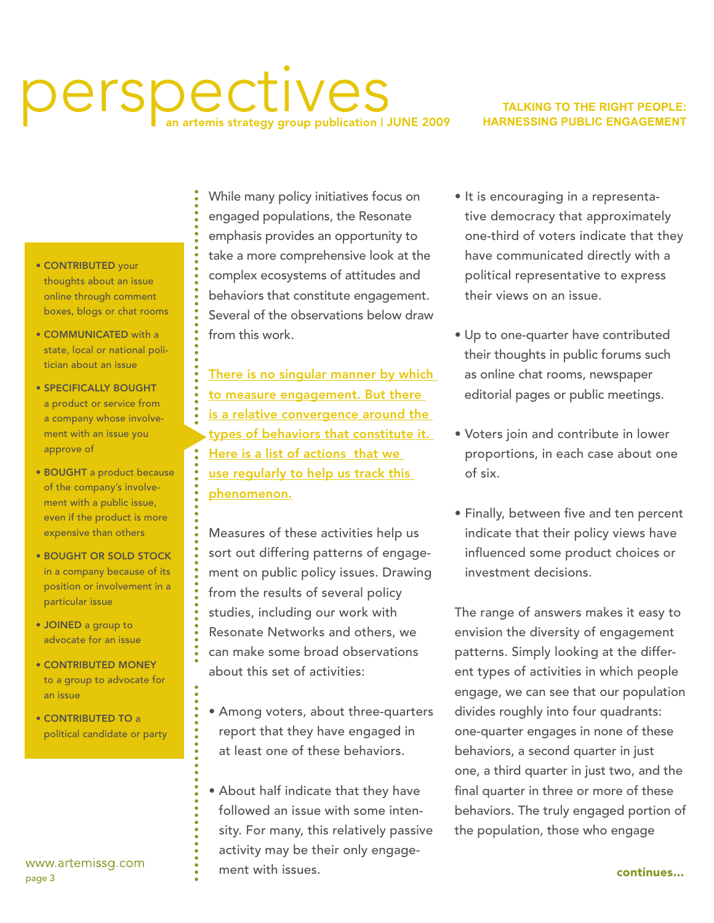### perspectives temis strategy group publication | JUNE 2009

#### **TALKING TO THE RIGHT PEOPLE: HARNESSING PUBLIC ENGAGEMENT**

- CONTRIBUTED your thoughts about an issue online through comment boxes, blogs or chat rooms
- Communicated with a state, local or national politician about an issue
- Specifically bought a product or service from a company whose involvement with an issue you approve of
- BOUGHT a product because of the company's involvement with a public issue, even if the product is more expensive than others
- Bought or sold stock in a company because of its position or involvement in a particular issue
- JOINED a group to advocate for an issue
- Contributed money to a group to advocate for an issue
- CONTRIBUTED TO a political candidate or party

www.artemissg.com page 3

While many policy initiatives focus on engaged populations, the Resonate emphasis provides an opportunity to take a more comprehensive look at the complex ecosystems of attitudes and behaviors that constitute engagement. Several of the observations below draw from this work.

There is no singular manner by which to measure engagement. But there is a relative convergence around the types of behaviors that constitute it. Here is a list of actions that we use regularly to help us track this phenomenon.

Measures of these activities help us sort out differing patterns of engagement on public policy issues. Drawing from the results of several policy studies, including our work with Resonate Networks and others, we can make some broad observations about this set of activities:

- Among voters, about three-quarters report that they have engaged in at least one of these behaviors.
- About half indicate that they have followed an issue with some intensity. For many, this relatively passive activity may be their only engagement with issues.
- It is encouraging in a representative democracy that approximately one-third of voters indicate that they have communicated directly with a political representative to express their views on an issue.
- Up to one-quarter have contributed their thoughts in public forums such as online chat rooms, newspaper editorial pages or public meetings.
- Voters join and contribute in lower proportions, in each case about one of six.
- Finally, between five and ten percent indicate that their policy views have influenced some product choices or investment decisions.

The range of answers makes it easy to envision the diversity of engagement patterns. Simply looking at the different types of activities in which people engage, we can see that our population divides roughly into four quadrants: one-quarter engages in none of these behaviors, a second quarter in just one, a third quarter in just two, and the final quarter in three or more of these behaviors. The truly engaged portion of the population, those who engage

continues...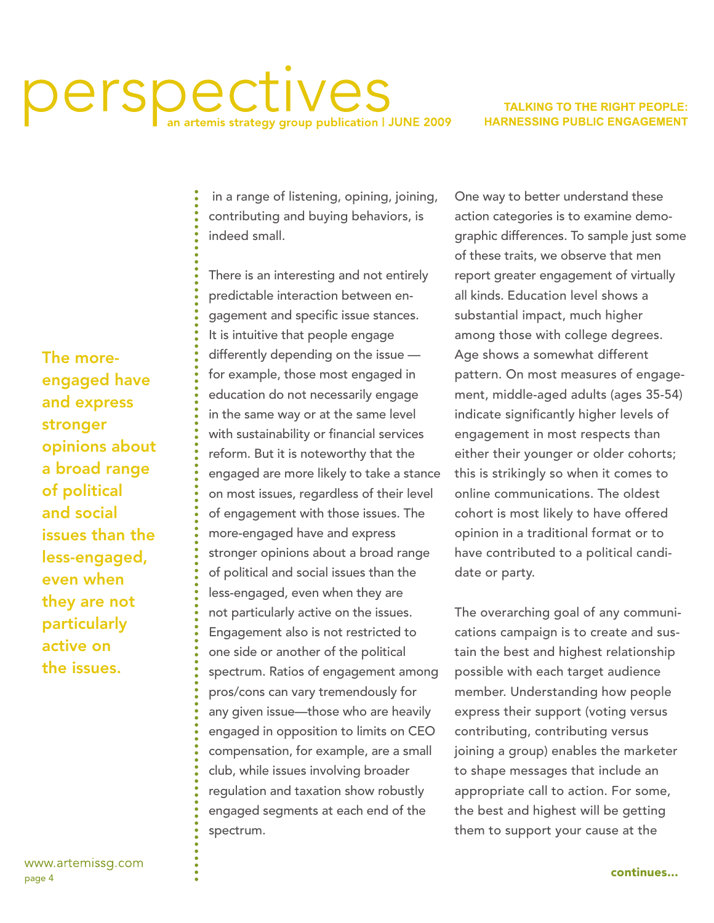### perspectives temis strategy group publication | JUNE 2009

#### **TALKING TO THE RIGHT PEOPLE: HARNESSING PUBLIC ENGAGEMENT**

 in a range of listening, opining, joining, contributing and buying behaviors, is indeed small.

There is an interesting and not entirely predictable interaction between engagement and specific issue stances. It is intuitive that people engage differently depending on the issue for example, those most engaged in education do not necessarily engage in the same way or at the same level with sustainability or financial services reform. But it is noteworthy that the engaged are more likely to take a stance on most issues, regardless of their level of engagement with those issues. The more-engaged have and express stronger opinions about a broad range of political and social issues than the less-engaged, even when they are not particularly active on the issues. Engagement also is not restricted to one side or another of the political spectrum. Ratios of engagement among pros/cons can vary tremendously for any given issue—those who are heavily engaged in opposition to limits on CEO compensation, for example, are a small club, while issues involving broader regulation and taxation show robustly engaged segments at each end of the spectrum.

One way to better understand these action categories is to examine demographic differences. To sample just some of these traits, we observe that men report greater engagement of virtually all kinds. Education level shows a substantial impact, much higher among those with college degrees. Age shows a somewhat different pattern. On most measures of engagement, middle-aged adults (ages 35-54) indicate significantly higher levels of engagement in most respects than either their younger or older cohorts; this is strikingly so when it comes to online communications. The oldest cohort is most likely to have offered opinion in a traditional format or to have contributed to a political candidate or party.

The overarching goal of any communications campaign is to create and sustain the best and highest relationship possible with each target audience member. Understanding how people express their support (voting versus contributing, contributing versus joining a group) enables the marketer to shape messages that include an appropriate call to action. For some, the best and highest will be getting them to support your cause at the

The moreengaged have and express stronger opinions about a broad range of political and social issues than the less-engaged, even when they are not particularly active on the issues.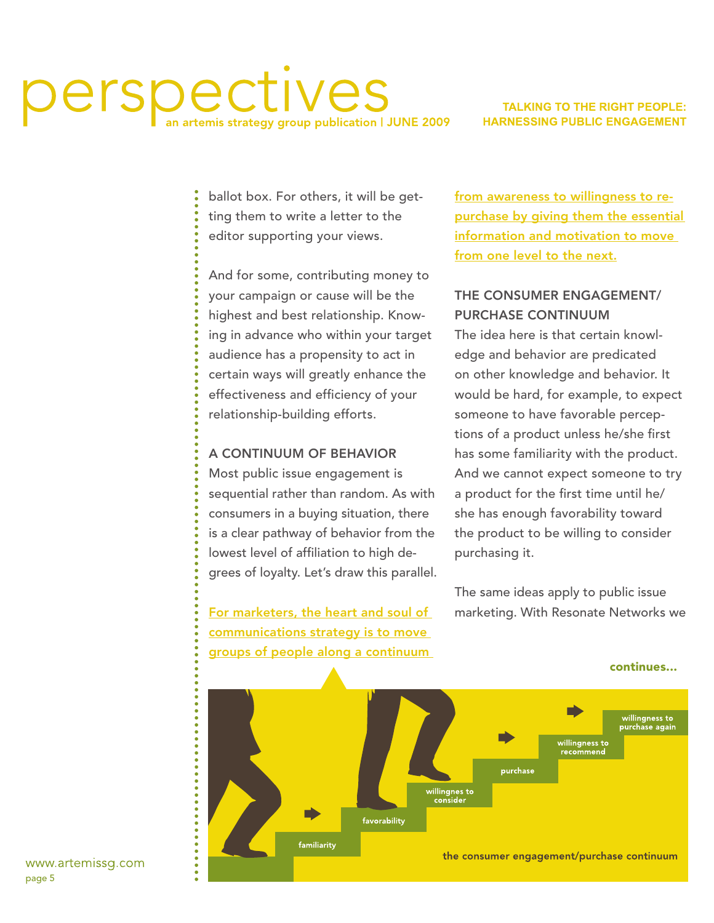#### erspec ves artemis strategy group publication | JUNE 2009

#### **TALKING TO THE RIGHT PEOPLE: HARNESSING PUBLIC ENGAGEMENT**

ballot box. For others, it will be getting them to write a letter to the editor supporting your views.

And for some, contributing money to your campaign or cause will be the highest and best relationship. Knowing in advance who within your target audience has a propensity to act in certain ways will greatly enhance the effectiveness and efficiency of your relationship-building efforts.

#### A Continuum of Behavior

Most public issue engagement is sequential rather than random. As with consumers in a buying situation, there is a clear pathway of behavior from the lowest level of affiliation to high degrees of loyalty. Let's draw this parallel.

For marketers, the heart and soul of communications strategy is to move groups of people along a continuum from awareness to willingness to repurchase by giving them the essential information and motivation to move from one level to the next.

#### The Consumer Engagement/ PURCHASE CONTINUUM

The idea here is that certain knowledge and behavior are predicated on other knowledge and behavior. It would be hard, for example, to expect someone to have favorable perceptions of a product unless he/she first has some familiarity with the product. And we cannot expect someone to try a product for the first time until he/ she has enough favorability toward the product to be willing to consider purchasing it.

The same ideas apply to public issue marketing. With Resonate Networks we

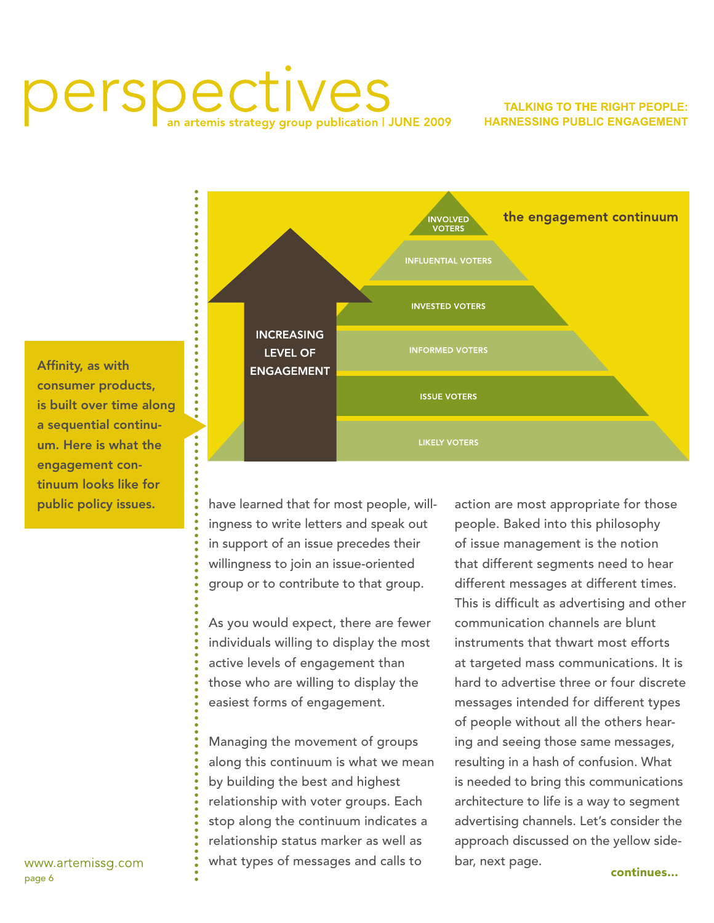### perspectives temis strategy group publication | JUNE 2009

#### **TALKING TO THE RIGHT PEOPLE: HARNESSING PUBLIC ENGAGEMENT**



Affinity, as with consumer products, is built over time along a sequential continuum. Here is what the engagement continuum looks like for public policy issues.

have learned that for most people, willingness to write letters and speak out in support of an issue precedes their willingness to join an issue-oriented group or to contribute to that group.

As you would expect, there are fewer individuals willing to display the most active levels of engagement than those who are willing to display the easiest forms of engagement.

Managing the movement of groups along this continuum is what we mean by building the best and highest relationship with voter groups. Each stop along the continuum indicates a relationship status marker as well as what types of messages and calls to

action are most appropriate for those people. Baked into this philosophy of issue management is the notion that different segments need to hear different messages at different times. This is difficult as advertising and other communication channels are blunt instruments that thwart most efforts at targeted mass communications. It is hard to advertise three or four discrete messages intended for different types of people without all the others hearing and seeing those same messages, resulting in a hash of confusion. What is needed to bring this communications architecture to life is a way to segment advertising channels. Let's consider the approach discussed on the yellow sidebar, next page. continues...